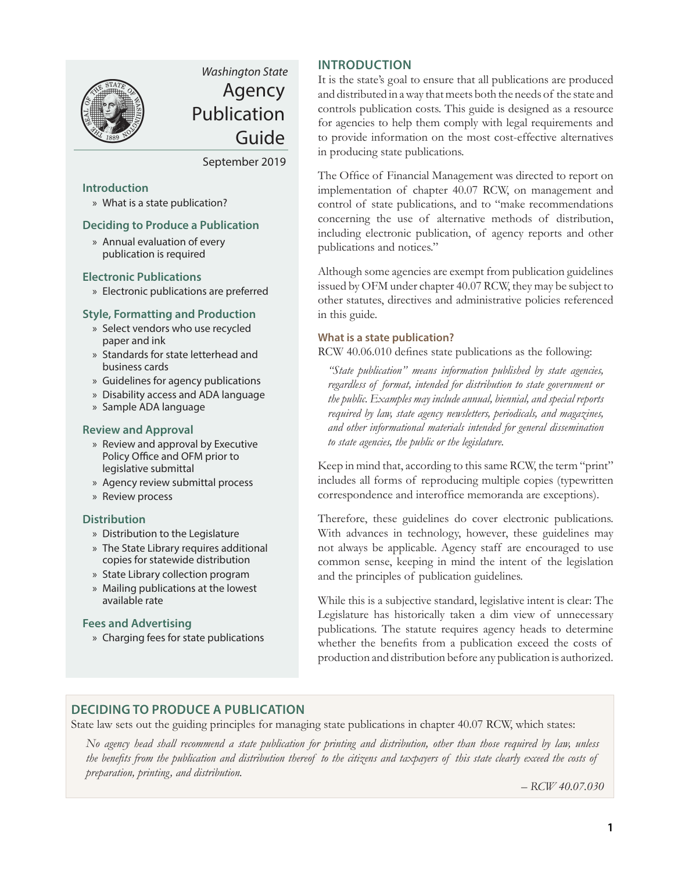

# *Washington State* Agency Publication Guide

September 2019

# **Introduction**

» What is a state publication?

# **Deciding to Produce a Publication**

[» Annual evaluation of every](#page-1-0) publication is required

### **Electronic Publications**

[» Electronic publications are preferred](#page-1-0)

### **[Style, Formatting and Production](#page-1-0)**

- [» Select vendors who use recycled](#page-1-0) paper and ink
- [» Standards for state letterhead and](#page-1-0) business cards
- [» Guidelines for agency publications](#page-2-0)
- [» Disability access and ADA language](#page-2-0)
- [» Sample ADA language](#page-2-0)

# **[Review and Approval](#page-2-0)**

- » Review and approval by Executive [Policy Office and OFM prior to](#page-2-0) legislative submittal
- [» Agency review submittal process](#page-2-0)
- [» Review process](#page-3-0)

### **[Distribution](#page-3-0)**

- [» Distribution to the Legislature](#page-3-0)
- [» The State Library requires additional](#page-3-0) copies for statewide distribution
- [» State Library collection program](#page-4-0)
- [» Mailing publications at the lowest](#page-4-0) available rate

### **Fees and Advertising**

[» Charging fees for state publications](#page-4-0)

# **INTRODUCTION**

It is the state's goal to ensure that all publications are produced and distributed in a way that meets both the needs of the state and controls publication costs. This guide is designed as a resource for agencies to help them comply with legal requirements and to provide information on the most cost-effective alternatives in producing state publications.

The Office of Financial Management was directed to report on implementation of chapter 40.07 RCW, on management and control of state publications, and to "make recommendations concerning the use of alternative methods of distribution, including electronic publication, of agency reports and other publications and notices."

Although some agencies are exempt from publication guidelines issued by OFM under chapter 40.07 RCW, they may be subject to other statutes, directives and administrative policies referenced in this guide.

### **What is a state publication?**

RCW 40.06.010 defines state publications as the following:

*"State publication" means information published by state agencies, regardless of format, intended for distribution to state government or the public. Examples may include annual, biennial, and special reports required by law, state agency newsletters, periodicals, and magazines, and other informational materials intended for general dissemination to state agencies, the public or the legislature.*

Keep in mind that, according to this same RCW, the term "print" includes all forms of reproducing multiple copies (typewritten correspondence and interoffice memoranda are exceptions).

Therefore, these guidelines do cover electronic publications. With advances in technology, however, these guidelines may not always be applicable. Agency staff are encouraged to use common sense, keeping in mind the intent of the legislation and the principles of publication guidelines.

While this is a subjective standard, legislative intent is clear: The Legislature has historically taken a dim view of unnecessary publications. The statute requires agency heads to determine whether the benefits from a publication exceed the costs of production and distribution before any publication is authorized.

# **DECIDING TO PRODUCE A PUBLICATION**

State law sets out the guiding principles for managing state publications in chapter 40.07 RCW, which states:

*No agency head shall recommend a state publication for printing and distribution, other than those required by law, unless the benefits from the publication and distribution thereof to the citizens and taxpayers of this state clearly exceed the costs of preparation, printing, and distribution.*

*– RCW 40.07.030*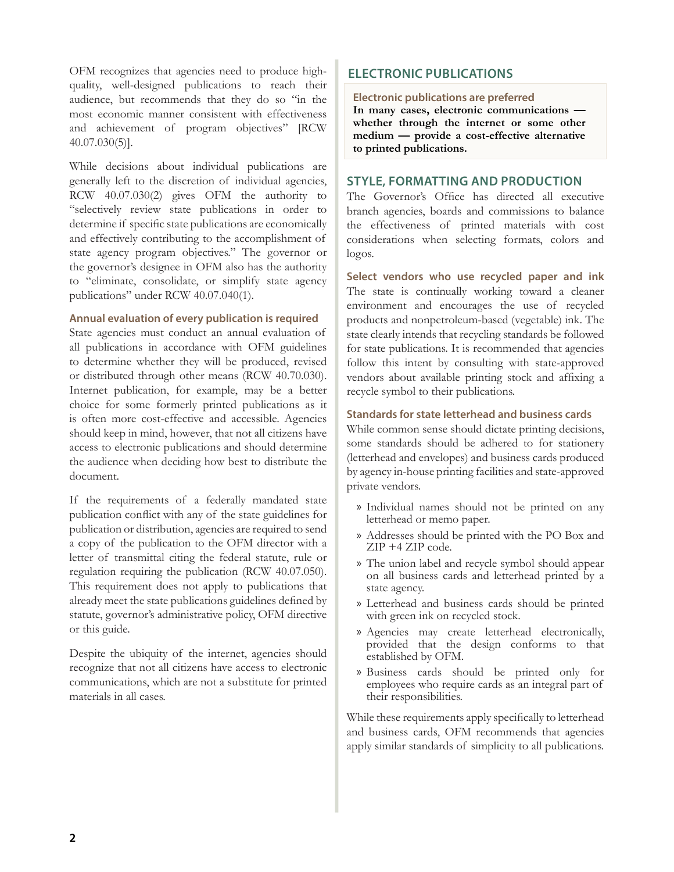<span id="page-1-0"></span>OFM recognizes that agencies need to produce highquality, well-designed publications to reach their audience, but recommends that they do so "in the most economic manner consistent with effectiveness and achievement of program objectives" [RCW 40.07.030(5)].

While decisions about individual publications are generally left to the discretion of individual agencies, RCW 40.07.030(2) gives OFM the authority to "selectively review state publications in order to determine if specific state publications are economically and effectively contributing to the accomplishment of state agency program objectives." The governor or the governor's designee in OFM also has the authority to "eliminate, consolidate, or simplify state agency publications" under RCW 40.07.040(1).

### **Annual evaluation of every publication is required**

State agencies must conduct an annual evaluation of all publications in accordance with OFM guidelines to determine whether they will be produced, revised or distributed through other means (RCW 40.70.030). Internet publication, for example, may be a better choice for some formerly printed publications as it is often more cost-effective and accessible. Agencies should keep in mind, however, that not all citizens have access to electronic publications and should determine the audience when deciding how best to distribute the document.

If the requirements of a federally mandated state publication conflict with any of the state guidelines for publication or distribution, agencies are required to send a copy of the publication to the OFM director with a letter of transmittal citing the federal statute, rule or regulation requiring the publication (RCW 40.07.050). This requirement does not apply to publications that already meet the state publications guidelines defined by statute, governor's administrative policy, OFM directive or this guide.

Despite the ubiquity of the internet, agencies should recognize that not all citizens have access to electronic communications, which are not a substitute for printed materials in all cases.

# **ELECTRONIC PUBLICATIONS**

#### **Electronic publications are preferred**

**In many cases, electronic communications whether through the internet or some other medium — provide a cost-effective alternative to printed publications.**

# **STYLE, FORMATTING AND PRODUCTION**

The Governor's Office has directed all executive branch agencies, boards and commissions to balance the effectiveness of printed materials with cost considerations when selecting formats, colors and logos.

**Select vendors who use recycled paper and ink**  The state is continually working toward a cleaner environment and encourages the use of recycled products and nonpetroleum-based (vegetable) ink. The state clearly intends that recycling standards be followed for state publications. It is recommended that agencies follow this intent by consulting with state-approved vendors about available printing stock and affixing a recycle symbol to their publications.

#### **Standards for state letterhead and business cards**

While common sense should dictate printing decisions, some standards should be adhered to for stationery (letterhead and envelopes) and business cards produced by agency in-house printing facilities and state-approved private vendors.

- » Individual names should not be printed on any letterhead or memo paper.
- » Addresses should be printed with the PO Box and ZIP +4 ZIP code.
- » The union label and recycle symbol should appear on all business cards and letterhead printed by a state agency.
- » Letterhead and business cards should be printed with green ink on recycled stock.
- » Agencies may create letterhead electronically, provided that the design conforms to that established by OFM.
- » Business cards should be printed only for employees who require cards as an integral part of their responsibilities.

While these requirements apply specifically to letterhead and business cards, OFM recommends that agencies apply similar standards of simplicity to all publications.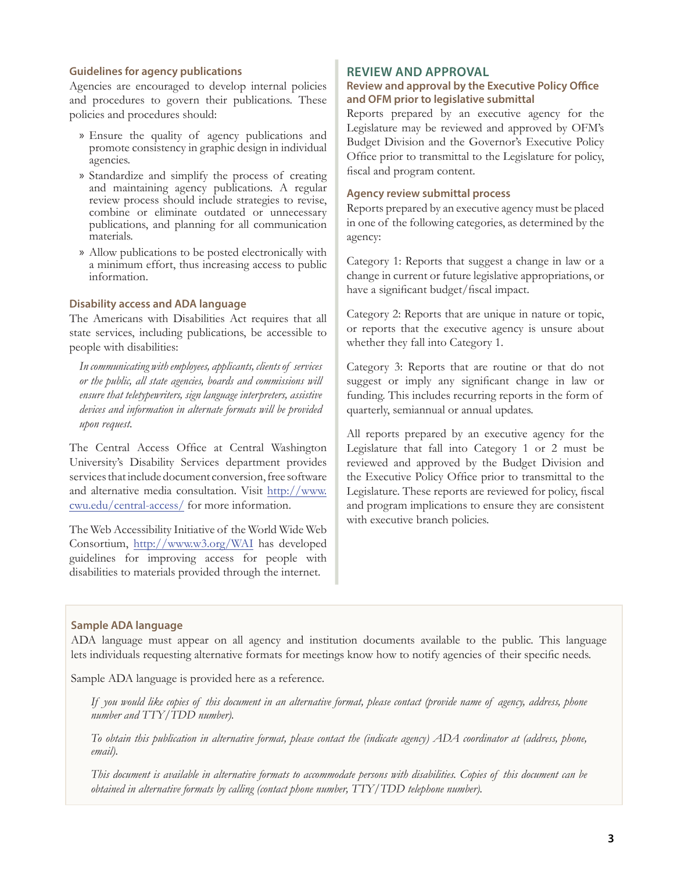#### <span id="page-2-0"></span>**Guidelines for agency publications**

Agencies are encouraged to develop internal policies and procedures to govern their publications. These policies and procedures should:

- » Ensure the quality of agency publications and promote consistency in graphic design in individual agencies.
- » Standardize and simplify the process of creating and maintaining agency publications. A regular review process should include strategies to revise, combine or eliminate outdated or unnecessary publications, and planning for all communication materials.
- » Allow publications to be posted electronically with a minimum effort, thus increasing access to public information.

#### **Disability access and ADA language**

The Americans with Disabilities Act requires that all state services, including publications, be accessible to people with disabilities:

*In communicating with employees, applicants, clients of services or the public, all state agencies, boards and commissions will ensure that teletypewriters, sign language interpreters, assistive devices and information in alternate formats will be provided upon request.*

The Central Access Office at Central Washington University's Disability Services department provides services that include document conversion, free software and alternative media consultation. Visit [http://www.](http://www.cwu.edu/central-access/) [cwu.edu/central-access/](http://www.cwu.edu/central-access/) for more information.

The Web Accessibility Initiative of the World Wide Web Consortium, <http://www.w3.org/WAI> has developed guidelines for improving access for people with disabilities to materials provided through the internet.

# **REVIEW AND APPROVAL**

#### **Review and approval by the Executive Policy Office and OFM prior to legislative submittal**

Reports prepared by an executive agency for the Legislature may be reviewed and approved by OFM's Budget Division and the Governor's Executive Policy Office prior to transmittal to the Legislature for policy, fiscal and program content.

#### **Agency review submittal process**

Reports prepared by an executive agency must be placed in one of the following categories, as determined by the agency:

Category 1: Reports that suggest a change in law or a change in current or future legislative appropriations, or have a significant budget/fiscal impact.

Category 2: Reports that are unique in nature or topic, or reports that the executive agency is unsure about whether they fall into Category 1.

Category 3: Reports that are routine or that do not suggest or imply any significant change in law or funding. This includes recurring reports in the form of quarterly, semiannual or annual updates.

All reports prepared by an executive agency for the Legislature that fall into Category 1 or 2 must be reviewed and approved by the Budget Division and the Executive Policy Office prior to transmittal to the Legislature. These reports are reviewed for policy, fiscal and program implications to ensure they are consistent with executive branch policies.

#### **Sample ADA language**

ADA language must appear on all agency and institution documents available to the public. This language lets individuals requesting alternative formats for meetings know how to notify agencies of their specific needs.

Sample ADA language is provided here as a reference.

*If you would like copies of this document in an alternative format, please contact (provide name of agency, address, phone number and TTY/TDD number).*

*To obtain this publication in alternative format, please contact the (indicate agency) ADA coordinator at (address, phone, email).*

*This document is available in alternative formats to accommodate persons with disabilities. Copies of this document can be obtained in alternative formats by calling (contact phone number, TTY/TDD telephone number).*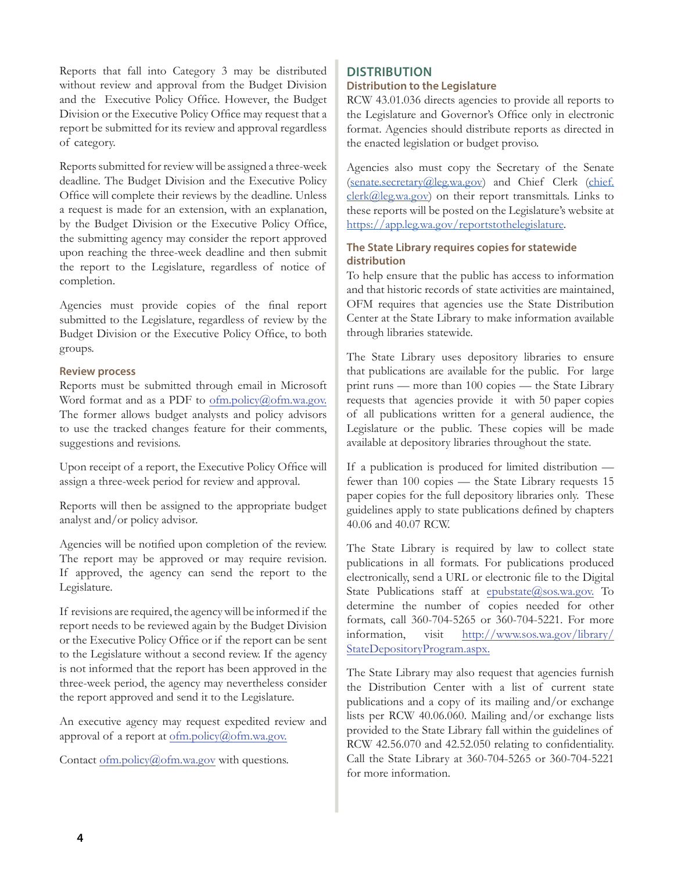<span id="page-3-0"></span>Reports that fall into Category 3 may be distributed without review and approval from the Budget Division and the Executive Policy Office. However, the Budget Division or the Executive Policy Office may request that a report be submitted for its review and approval regardless of category.

Reports submitted for review will be assigned a three-week deadline. The Budget Division and the Executive Policy Office will complete their reviews by the deadline. Unless a request is made for an extension, with an explanation, by the Budget Division or the Executive Policy Office, the submitting agency may consider the report approved upon reaching the three-week deadline and then submit the report to the Legislature, regardless of notice of completion.

Agencies must provide copies of the final report submitted to the Legislature, regardless of review by the Budget Division or the Executive Policy Office, to both groups.

### **Review process**

Reports must be submitted through email in Microsoft Word format and as a PDF to [ofm.policy@ofm.wa.gov.](mailto:ofm.policy%40ofm.wa.gov?subject=) The former allows budget analysts and policy advisors to use the tracked changes feature for their comments, suggestions and revisions.

Upon receipt of a report, the Executive Policy Office will assign a three-week period for review and approval.

Reports will then be assigned to the appropriate budget analyst and/or policy advisor.

Agencies will be notified upon completion of the review. The report may be approved or may require revision. If approved, the agency can send the report to the Legislature.

If revisions are required, the agency will be informed if the report needs to be reviewed again by the Budget Division or the Executive Policy Office or if the report can be sent to the Legislature without a second review. If the agency is not informed that the report has been approved in the three-week period, the agency may nevertheless consider the report approved and send it to the Legislature.

An executive agency may request expedited review and approval of a report at [ofm.policy@ofm.wa.gov](mailto:ofm.policy%40ofm.wa.gov?subject=).

Contact [ofm.policy@ofm.wa.gov](mailto:ofm.policy%40ofm.wa.gov?subject=) with questions.

#### **DISTRIBUTION Distribution to the Legislature**

RCW 43.01.036 directs agencies to provide all reports to the Legislature and Governor's Office only in electronic format. Agencies should distribute reports as directed in the enacted legislation or budget proviso.

Agencies also must copy the Secretary of the Senate [\(senate.secretary@leg.wa.gov](mailto:senate.secretary%40leg.wa.gov?subject=)) and Chief Clerk ([chief.](mailto:chief.clerk%40leg.wa.gov?subject=) [clerk@leg.wa.gov](mailto:chief.clerk%40leg.wa.gov?subject=)) on their report transmittals. Links to these reports will be posted on the Legislature's website at <https://app.leg.wa.gov/reportstothelegislature>.

# **The State Library requires copies for statewide distribution**

To help ensure that the public has access to information and that historic records of state activities are maintained, OFM requires that agencies use the State Distribution Center at the State Library to make information available through libraries statewide.

The State Library uses depository libraries to ensure that publications are available for the public. For large print runs — more than 100 copies — the State Library requests that agencies provide it with 50 paper copies of all publications written for a general audience, the Legislature or the public. These copies will be made available at depository libraries throughout the state.

If a publication is produced for limited distribution fewer than 100 copies — the State Library requests 15 paper copies for the full depository libraries only. These guidelines apply to state publications defined by chapters 40.06 and 40.07 RCW.

The State Library is required by law to collect state publications in all formats. For publications produced electronically, send a URL or electronic file to the Digital State Publications staff at [epubstate@sos.wa.gov](mailto:epubstate@sos.wa.gov). To determine the number of copies needed for other formats, call 360-704-5265 or 360-704-5221. For more information, visit [http://www.sos.wa.gov/library/](http://www.sos.wa.gov/library/StateDepositoryProgram.aspx) [StateDepositoryProgram.aspx.](http://www.sos.wa.gov/library/StateDepositoryProgram.aspx)

The State Library may also request that agencies furnish the Distribution Center with a list of current state publications and a copy of its mailing and/or exchange lists per RCW 40.06.060. Mailing and/or exchange lists provided to the State Library fall within the guidelines of RCW 42.56.070 and 42.52.050 relating to confidentiality. Call the State Library at 360-704-5265 or 360-704-5221 for more information.